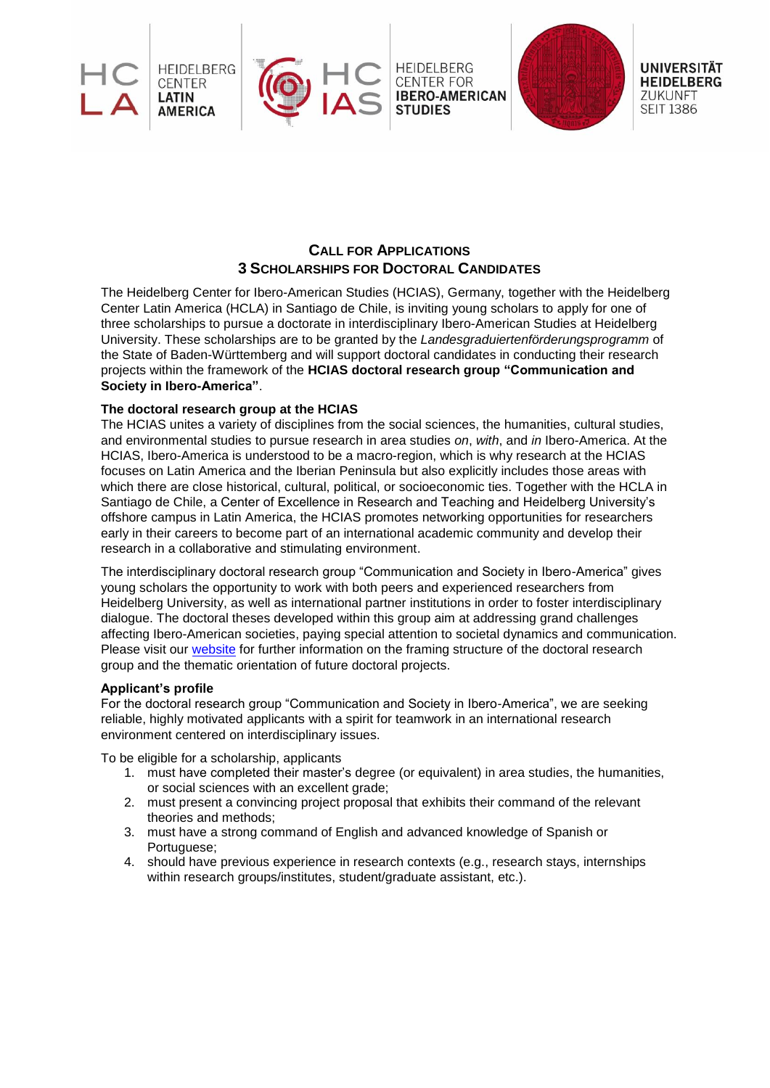





**UNIVERSITÄT HEIDELBERG** ZUKUNFT **SEIT 1386** 

# **CALL FOR APPLICATIONS 3 SCHOLARSHIPS FOR DOCTORAL CANDIDATES**

The Heidelberg Center for Ibero-American Studies (HCIAS), Germany, together with the Heidelberg Center Latin America (HCLA) in Santiago de Chile, is inviting young scholars to apply for one of three scholarships to pursue a doctorate in interdisciplinary Ibero-American Studies at Heidelberg University. These scholarships are to be granted by the *Landesgraduiertenförderungsprogramm* of the State of Baden-Württemberg and will support doctoral candidates in conducting their research projects within the framework of the **HCIAS doctoral research group "Communication and Society in Ibero-America"**.

## **The doctoral research group at the HCIAS**

The HCIAS unites a variety of disciplines from the social sciences, the humanities, cultural studies, and environmental studies to pursue research in area studies *on*, *with*, and *in* Ibero-America. At the HCIAS, Ibero-America is understood to be a macro-region, which is why research at the HCIAS focuses on Latin America and the Iberian Peninsula but also explicitly includes those areas with which there are close historical, cultural, political, or socioeconomic ties. Together with the HCLA in Santiago de Chile, a Center of Excellence in Research and Teaching and Heidelberg University's offshore campus in Latin America, the HCIAS promotes networking opportunities for researchers early in their careers to become part of an international academic community and develop their research in a collaborative and stimulating environment.

The interdisciplinary doctoral research group "Communication and Society in Ibero-America" gives young scholars the opportunity to work with both peers and experienced researchers from Heidelberg University, as well as international partner institutions in order to foster interdisciplinary dialogue. The doctoral theses developed within this group aim at addressing grand challenges affecting Ibero-American societies, paying special attention to societal dynamics and communication. Please visit our [website](https://www.uni-heidelberg.de/hcias/doktorandenprogramm_EN.html) for further information on the framing structure of the doctoral research group and the thematic orientation of future doctoral projects.

### **Applicant's profile**

For the doctoral research group "Communication and Society in Ibero-America", we are seeking reliable, highly motivated applicants with a spirit for teamwork in an international research environment centered on interdisciplinary issues.

To be eligible for a scholarship, applicants

- 1. must have completed their master's degree (or equivalent) in area studies, the humanities, or social sciences with an excellent grade;
- 2. must present a convincing project proposal that exhibits their command of the relevant theories and methods;
- 3. must have a strong command of English and advanced knowledge of Spanish or Portuguese;
- 4. should have previous experience in research contexts (e.g., research stays, internships within research groups/institutes, student/graduate assistant, etc.).